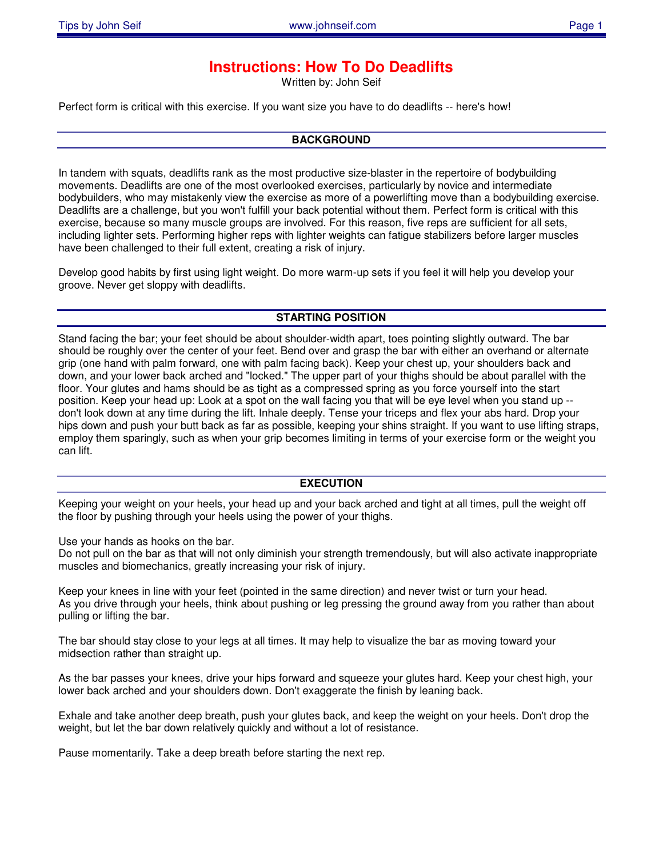# **Instructions: How To Do Deadlifts**

Written by: John Seif

Perfect form is critical with this exercise. If you want size you have to do deadlifts -- here's how!

### **BACKGROUND**

In tandem with squats, deadlifts rank as the most productive size-blaster in the repertoire of bodybuilding movements. Deadlifts are one of the most overlooked exercises, particularly by novice and intermediate bodybuilders, who may mistakenly view the exercise as more of a powerlifting move than a bodybuilding exercise. Deadlifts are a challenge, but you won't fulfill your back potential without them. Perfect form is critical with this exercise, because so many muscle groups are involved. For this reason, five reps are sufficient for all sets, including lighter sets. Performing higher reps with lighter weights can fatigue stabilizers before larger muscles have been challenged to their full extent, creating a risk of injury.

Develop good habits by first using light weight. Do more warm-up sets if you feel it will help you develop your groove. Never get sloppy with deadlifts.

### **STARTING POSITION**

Stand facing the bar; your feet should be about shoulder-width apart, toes pointing slightly outward. The bar should be roughly over the center of your feet. Bend over and grasp the bar with either an overhand or alternate grip (one hand with palm forward, one with palm facing back). Keep your chest up, your shoulders back and down, and your lower back arched and "locked." The upper part of your thighs should be about parallel with the floor. Your glutes and hams should be as tight as a compressed spring as you force yourself into the start position. Keep your head up: Look at a spot on the wall facing you that will be eye level when you stand up - don't look down at any time during the lift. Inhale deeply. Tense your triceps and flex your abs hard. Drop your hips down and push your butt back as far as possible, keeping your shins straight. If you want to use lifting straps, employ them sparingly, such as when your grip becomes limiting in terms of your exercise form or the weight you can lift.

### **EXECUTION**

Keeping your weight on your heels, your head up and your back arched and tight at all times, pull the weight off the floor by pushing through your heels using the power of your thighs.

Use your hands as hooks on the bar.

Do not pull on the bar as that will not only diminish your strength tremendously, but will also activate inappropriate muscles and biomechanics, greatly increasing your risk of injury.

Keep your knees in line with your feet (pointed in the same direction) and never twist or turn your head. As you drive through your heels, think about pushing or leg pressing the ground away from you rather than about pulling or lifting the bar.

The bar should stay close to your legs at all times. It may help to visualize the bar as moving toward your midsection rather than straight up.

As the bar passes your knees, drive your hips forward and squeeze your glutes hard. Keep your chest high, your lower back arched and your shoulders down. Don't exaggerate the finish by leaning back.

Exhale and take another deep breath, push your glutes back, and keep the weight on your heels. Don't drop the weight, but let the bar down relatively quickly and without a lot of resistance.

Pause momentarily. Take a deep breath before starting the next rep.